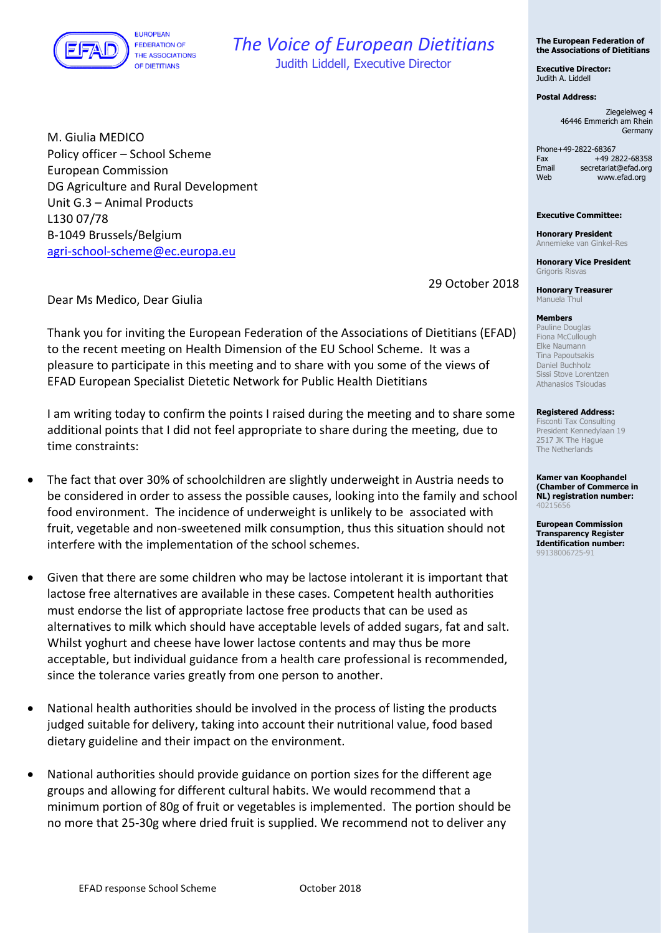

## *The Voice of European Dietitians*

Judith Liddell, Executive Director

M. Giulia MEDICO Policy officer – School Scheme European Commission DG Agriculture and Rural Development Unit G.3 – Animal Products L130 07/78 B-1049 Brussels/Belgium [agri-school-scheme@ec.europa.eu](mailto:agri-school-scheme@ec.europa.eu)

29 October 2018

Dear Ms Medico, Dear Giulia

Thank you for inviting the European Federation of the Associations of Dietitians (EFAD) to the recent meeting on Health Dimension of the EU School Scheme. It was a pleasure to participate in this meeting and to share with you some of the views of EFAD European Specialist Dietetic Network for Public Health Dietitians

I am writing today to confirm the points I raised during the meeting and to share some additional points that I did not feel appropriate to share during the meeting, due to time constraints:

- The fact that over 30% of schoolchildren are slightly underweight in Austria needs to be considered in order to assess the possible causes, looking into the family and school food environment. The incidence of underweight is unlikely to be associated with fruit, vegetable and non-sweetened milk consumption, thus this situation should not interfere with the implementation of the school schemes.
- Given that there are some children who may be lactose intolerant it is important that lactose free alternatives are available in these cases. Competent health authorities must endorse the list of appropriate lactose free products that can be used as alternatives to milk which should have acceptable levels of added sugars, fat and salt. Whilst yoghurt and cheese have lower lactose contents and may thus be more acceptable, but individual guidance from a health care professional is recommended, since the tolerance varies greatly from one person to another.
- National health authorities should be involved in the process of listing the products judged suitable for delivery, taking into account their nutritional value, food based dietary guideline and their impact on the environment.
- National authorities should provide guidance on portion sizes for the different age groups and allowing for different cultural habits. We would recommend that a minimum portion of 80g of fruit or vegetables is implemented. The portion should be no more that 25-30g where dried fruit is supplied. We recommend not to deliver any

**The European Federation of the Associations of Dietitians**

**Executive Director:** Judith A. Liddell

## **Postal Address:**

Ziegeleiweg 4 46446 Emmerich am Rhein Germany

Phone+49-2822-68367 Fax +49 2822-68358<br>Fmail secretariat@efad.org Email secretariat@efad.org<br>Web www.efad.org www.efad.org

## **Executive Committee:**

**Honorary President** Annemieke van Ginkel-Res

**Honorary Vice President** Grigoris Risvas

**Honorary Treasurer** Manuela Thul

## **Members**

Pauline Douglas Fiona McCullough Elke Naumann Tina Papoutsakis Daniel Buchholz Sissi Stove Lorentzen Athanasios Tsioudas

**Registered Address:**

Fisconti Tax Consulting President Kennedylaan 19 2517 JK The Hague The Netherlands

**Kamer van Koophandel (Chamber of Commerce in NL) registration number:** 40215656

**European Commission Transparency Register Identification number:** 99138006725-91